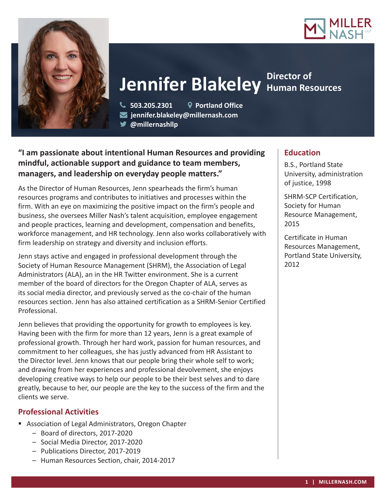



# **Jennifer Blakeley** Human Resources **Director of**

 **503.205.2301 Portland Office jennifer.blakeley@millernash.com** 

**@millernashllp**

## **"I am passionate about intentional Human Resources and providing mindful, actionable support and guidance to team members, managers, and leadership on everyday people matters."**

As the Director of Human Resources, Jenn spearheads the firm's human resources programs and contributes to initiatives and processes within the firm. With an eye on maximizing the positive impact on the firm's people and business, she oversees Miller Nash's talent acquisition, employee engagement and people practices, learning and development, compensation and benefits, workforce management, and HR technology. Jenn also works collaboratively with firm leadership on strategy and diversity and inclusion efforts.

Jenn stays active and engaged in professional development through the Society of Human Resource Management (SHRM), the Association of Legal Administrators (ALA), an in the HR Twitter environment. She is a current member of the board of directors for the Oregon Chapter of ALA, serves as its social media director, and previously served as the co-chair of the human resources section. Jenn has also attained certification as a SHRM-Senior Certified Professional.

Jenn believes that providing the opportunity for growth to employees is key. Having been with the firm for more than 12 years, Jenn is a great example of professional growth. Through her hard work, passion for human resources, and commitment to her colleagues, she has justly advanced from HR Assistant to the Director level. Jenn knows that our people bring their whole self to work; and drawing from her experiences and professional devolvement, she enjoys developing creative ways to help our people to be their best selves and to dare greatly, because to her, our people are the key to the success of the firm and the clients we serve.

### **Professional Activities**

- Association of Legal Administrators, Oregon Chapter
	- Board of directors, 2017-2020
	- Social Media Director, 2017-2020
	- Publications Director, 2017-2019
	- Human Resources Section, chair, 2014-2017

### **Education**

B.S., Portland State University, administration of justice, 1998

SHRM-SCP Certification, Society for Human Resource Management, 2015

Certificate in Human Resources Management, Portland State University, 2012